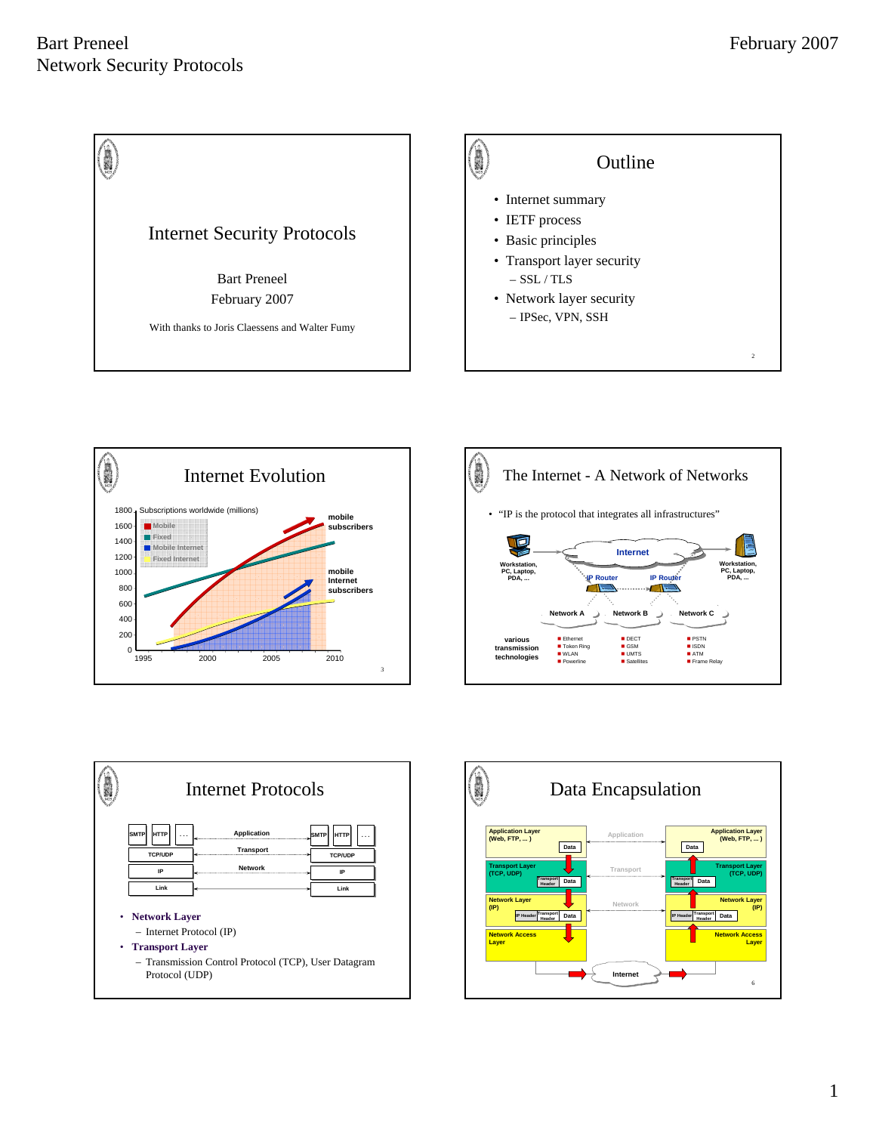







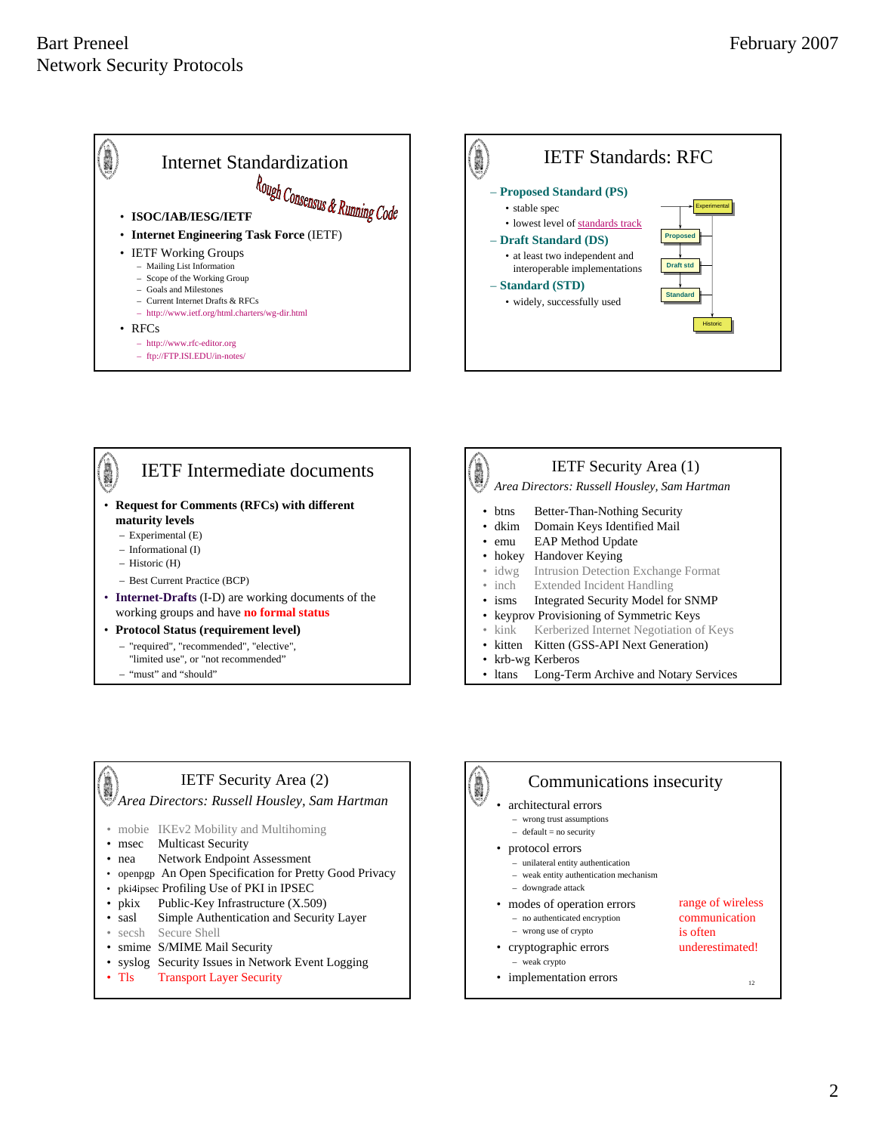





– "must" and "should"

# IETF Security Area (1) *Area Directors: Russell Housley, Sam Hartman*

- btns Better-Than-Nothing Security • dkim Domain Keys Identified Mail
- emu EAP Method Update
- hokey Handover Keying
- idwg Intrusion Detection Exchange Format
- inch Extended Incident Handling
- 
- isms Integrated Security Model for SNMP
- keyprov Provisioning of Symmetric Keys
- kink Kerberized Internet Negotiation of Keys
- kitten Kitten (GSS-API Next Generation)
- krb-wg Kerberos
- ltans Long-Term Archive and Notary Services

#### IETF Security Area (2)

#### *Area Directors: Russell Housley, Sam Hartman*

- mobie IKEv2 Mobility and Multihoming
- msec Multicast Security
- nea Network Endpoint Assessment
- openpgp An Open Specification for Pretty Good Privacy
- pki4ipsec Profiling Use of PKI in IPSEC
- pkix Public-Key Infrastructure (X.509)
- sasl Simple Authentication and Security Layer
- secsh Secure Shell
- smime S/MIME Mail Security
- syslog Security Issues in Network Event Logging
- Tls Transport Layer Security 12 and 12 and 12 and 12 and 12 and 12 and 12 and 12 and 12 and 12 and 12 and 12 and 12 and 12 and 12 and 12 and 12 and 12 and 12 and 12 and 12 and 12 and 12 and 12 and 12 and 12 and 12 and 12



**A** 

#### Communications insecurity

- architectural errors
- wrong trust assumptions
- $-$  default = no security
- protocol errors
	- unilateral entity authentication
	- weak entity authentication mechanism
	- downgrade attack
- modes of operation errors – no authenticated encryption – wrong use of crypto
- range of wireless communication is often underestimated!
- cryptographic errors – weak crypto
- implementation errors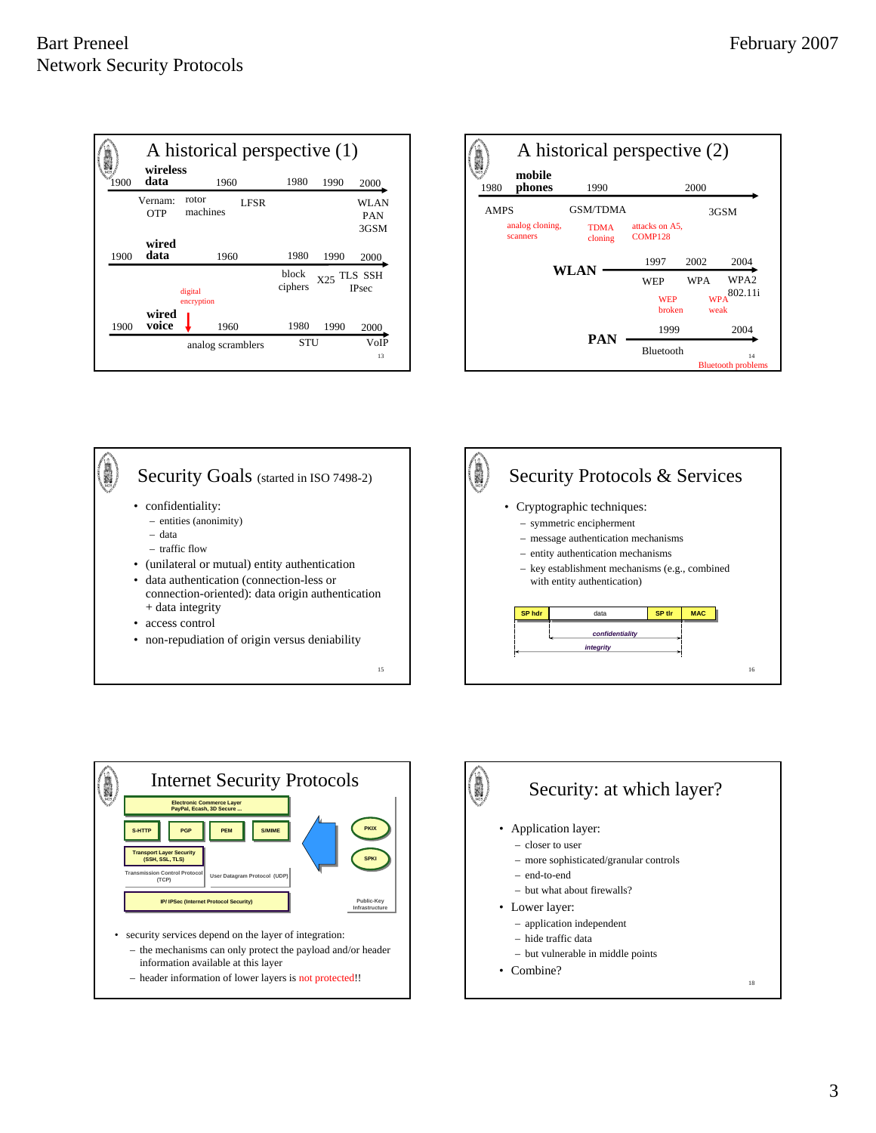









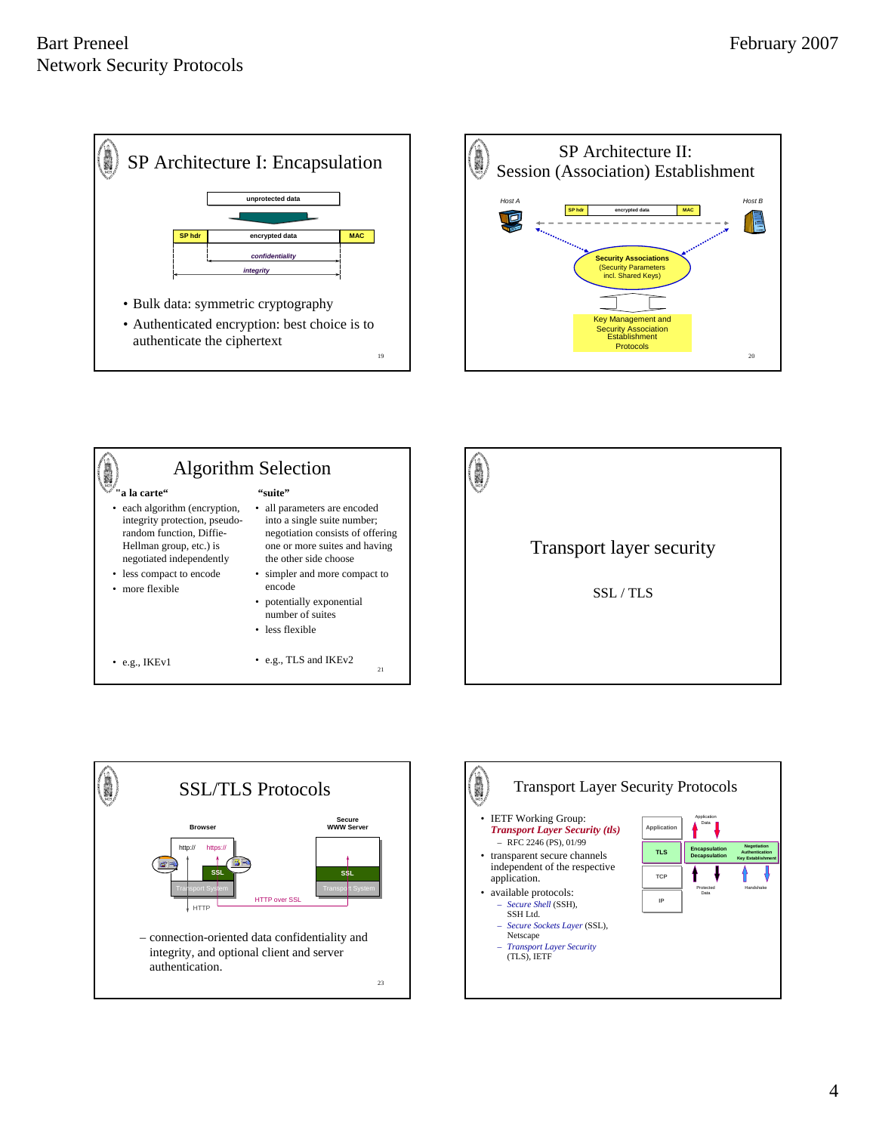









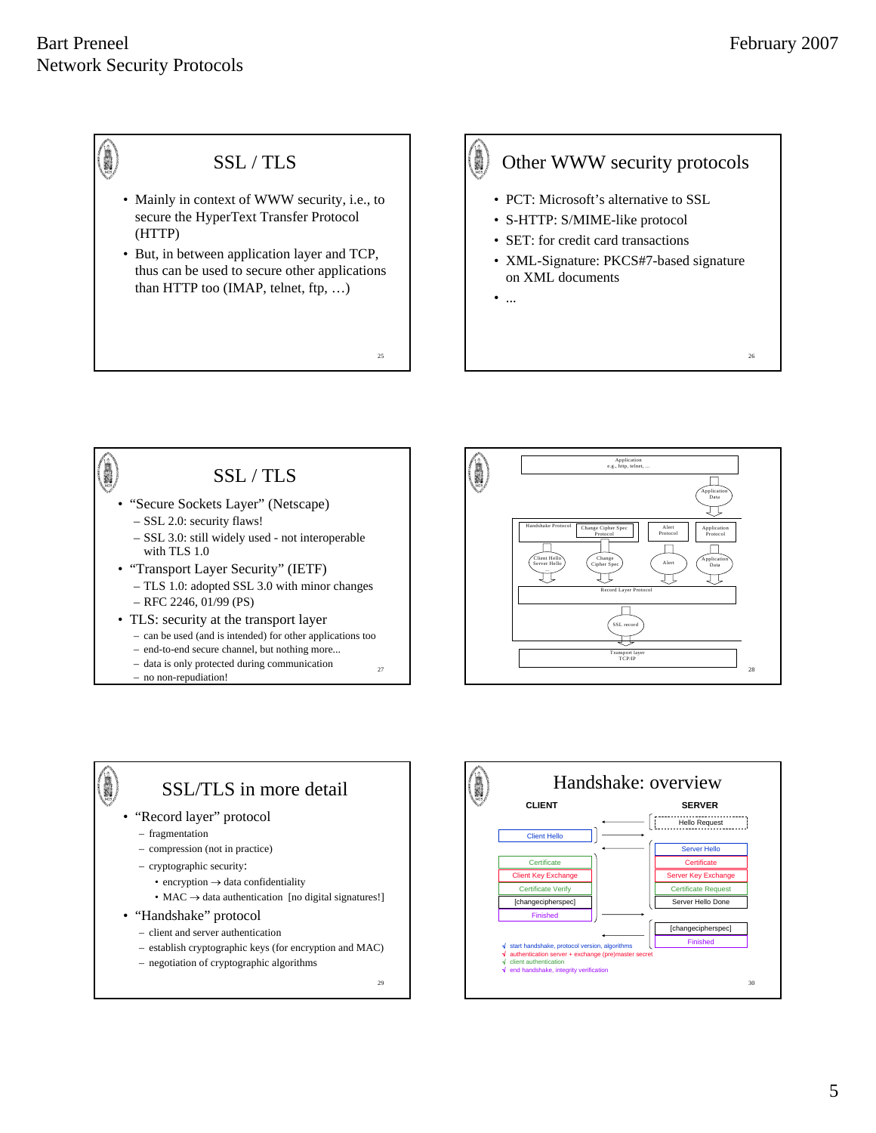26

#### O SSL / TLS • Mainly in context of WWW security, i.e., to secure the HyperText Transfer Protocol (HTTP) • But, in between application layer and TCP,

thus can be used to secure other applications than HTTP too (IMAP, telnet, ftp, …)

# 

## Other WWW security protocols

- PCT: Microsoft's alternative to SSL
- S-HTTP: S/MIME-like protocol
- SET: for credit card transactions
- XML-Signature: PKCS#7-based signature on XML documents
- ...

25

#### **A** SSL / TLS • "Secure Sockets Layer" (Netscape) – SSL 2.0: security flaws! – SSL 3.0: still widely used - not interoperable with TLS 1.0 • "Transport Layer Security" (IETF) – TLS 1.0: adopted SSL 3.0 with minor changes – RFC 2246, 01/99 (PS) • TLS: security at the transport layer – can be used (and is intended) for other applications too – end-to-end secure channel, but nothing more... 27

– data is only protected during communication - no non-repudiation!





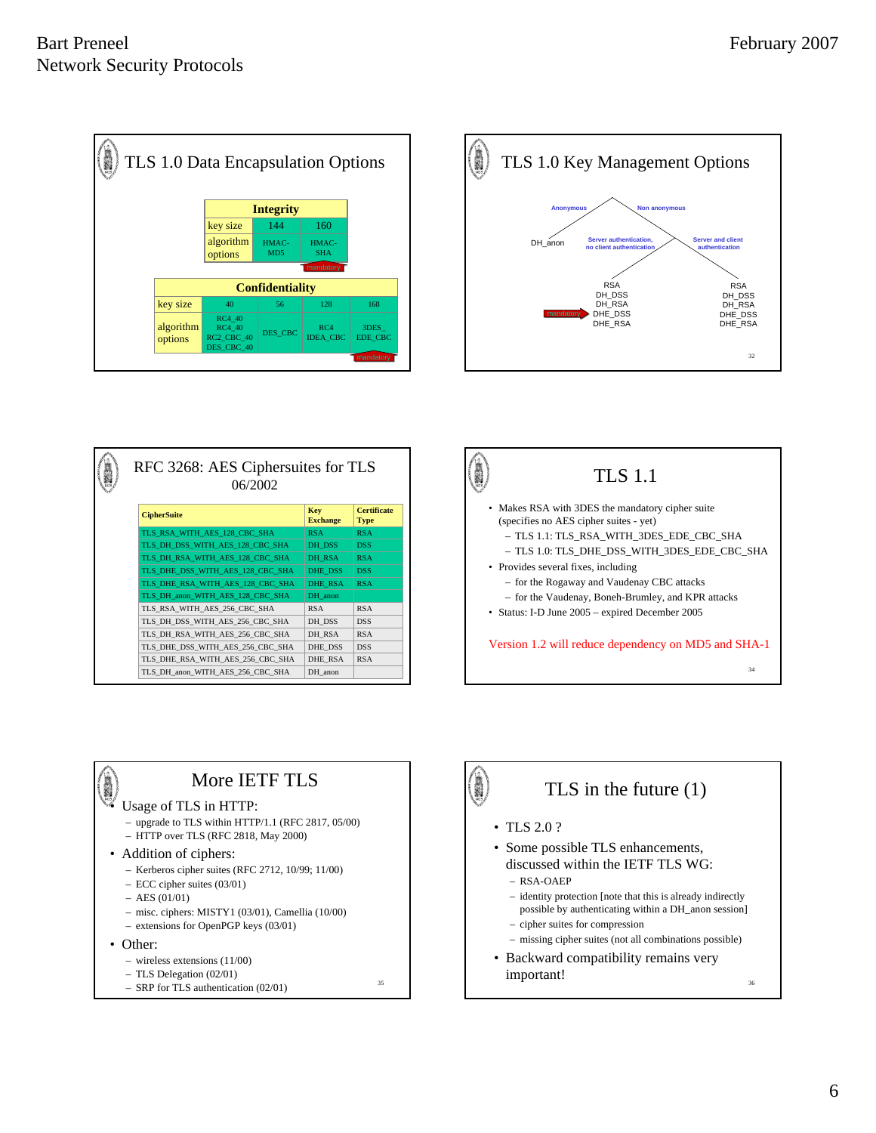



| RFC 3268: AES Ciphersuites for TLS<br>06/2002 |                        |                                   |  |  |  |  |
|-----------------------------------------------|------------------------|-----------------------------------|--|--|--|--|
| <b>CipherSuite</b>                            | Key<br><b>Exchange</b> | <b>Certificate</b><br><b>Type</b> |  |  |  |  |
| TLS RSA WITH AES 128 CBC SHA                  | <b>RSA</b>             | <b>RSA</b>                        |  |  |  |  |
| TLS DH DSS WITH AES 128 CBC SHA               | DH_DSS                 | <b>DSS</b>                        |  |  |  |  |
| TLS DH RSA WITH AES 128 CBC SHA               | DH RSA                 | <b>RSA</b>                        |  |  |  |  |
| TLS DHE DSS WITH AES 128 CBC SHA              | DHE DSS                | <b>DSS</b>                        |  |  |  |  |
| TLS DHE RSA WITH AES 128 CBC SHA              | <b>DHE RSA</b>         | <b>RSA</b>                        |  |  |  |  |
| TLS DH anon WITH AES 128 CBC SHA              | DH anon                |                                   |  |  |  |  |
| TLS RSA WITH AES 256 CBC SHA                  | <b>RSA</b>             | <b>RSA</b>                        |  |  |  |  |
| TLS DH DSS WITH AES 256 CBC SHA               | DH DSS                 | <b>DSS</b>                        |  |  |  |  |
| TLS DH RSA WITH AES 256 CBC SHA               | DH RSA                 | <b>RSA</b>                        |  |  |  |  |
| TLS DHE DSS WITH AES 256 CBC SHA              | DHE DSS                | <b>DSS</b>                        |  |  |  |  |
| TLS DHE RSA WITH AES 256 CBC SHA              | DHE RSA                | <b>RSA</b>                        |  |  |  |  |
| TLS DH anon WITH AES 256 CBC SHA              | DH anon                |                                   |  |  |  |  |
|                                               |                        |                                   |  |  |  |  |





- upgrade to TLS within HTTP/1.1 (RFC 2817, 05/00)
- HTTP over TLS (RFC 2818, May 2000)
- Addition of ciphers:
	- Kerberos cipher suites (RFC 2712, 10/99; 11/00)
	- ECC cipher suites (03/01)
	- AES (01/01)
	- misc. ciphers: MISTY1 (03/01), Camellia (10/00)

35

- extensions for OpenPGP keys (03/01)
- Other:
	- wireless extensions (11/00)
	- TLS Delegation (02/01)

 $-$  SRP for TLS authentication (02/01) <sup>35</sup>



• Backward compatibility remains very important!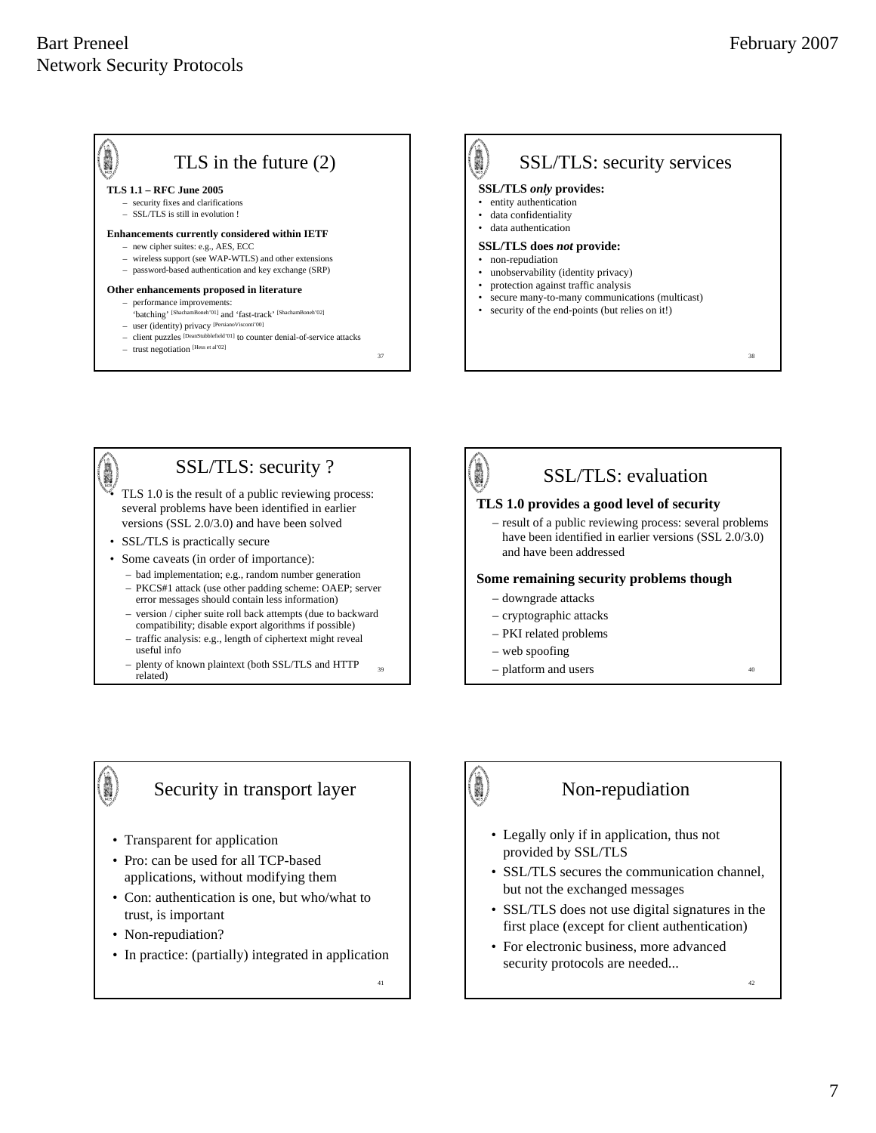38

#### TLS in the future (2)

#### **TLS 1.1 – RFC June 2005**

- security fixes and clarifications
- SSL/TLS is still in evolution !

#### **Enhancements currently considered within IETF**

- new cipher suites: e.g., AES, ECC
- wireless support (see WAP-WTLS) and other extensions
- password-based authentication and key exchange (SRP)

#### **Other enhancements proposed in literature**

- performance improvements: 'batching' [ShachamBoneh'01] and 'fast-track' [ShachamBoneh'02]
- user (identity) privacy [PersianoVisconti'00]
- client puzzles [DeanStubblefield'01] to counter denial-of-service attacks
- trust negotiation [Hess et al'02]





- traffic analysis: e.g., length of ciphertext might reveal useful info
- plenty of known plaintext (both SSL/TLS and HTTP



## Security in transport layer

- Transparent for application
- Pro: can be used for all TCP-based applications, without modifying them
- Con: authentication is one, but who/what to trust, is important
- Non-repudiation?

• In practice: (partially) integrated in application

41

37

39

# 

#### Non-repudiation

- Legally only if in application, thus not provided by SSL/TLS
- SSL/TLS secures the communication channel, but not the exchanged messages
- SSL/TLS does not use digital signatures in the first place (except for client authentication)
- For electronic business, more advanced security protocols are needed...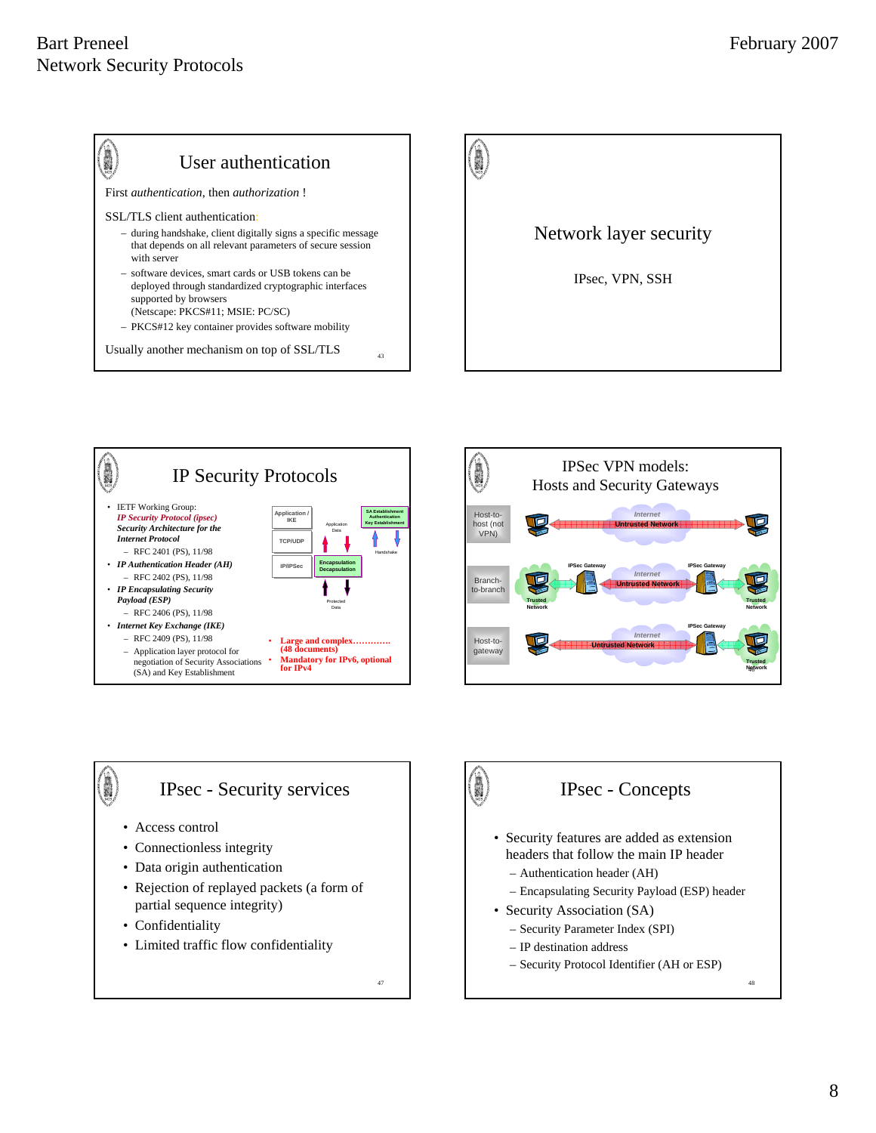









- Connectionless integrity
- Data origin authentication
- Rejection of replayed packets (a form of partial sequence integrity)
- Confidentiality
- Limited traffic flow confidentiality

47



## IPsec - Concepts

- Security features are added as extension headers that follow the main IP header
	- Authentication header (AH)
	- Encapsulating Security Payload (ESP) header
- Security Association (SA)
	- Security Parameter Index (SPI)
	- IP destination address
	- Security Protocol Identifier (AH or ESP)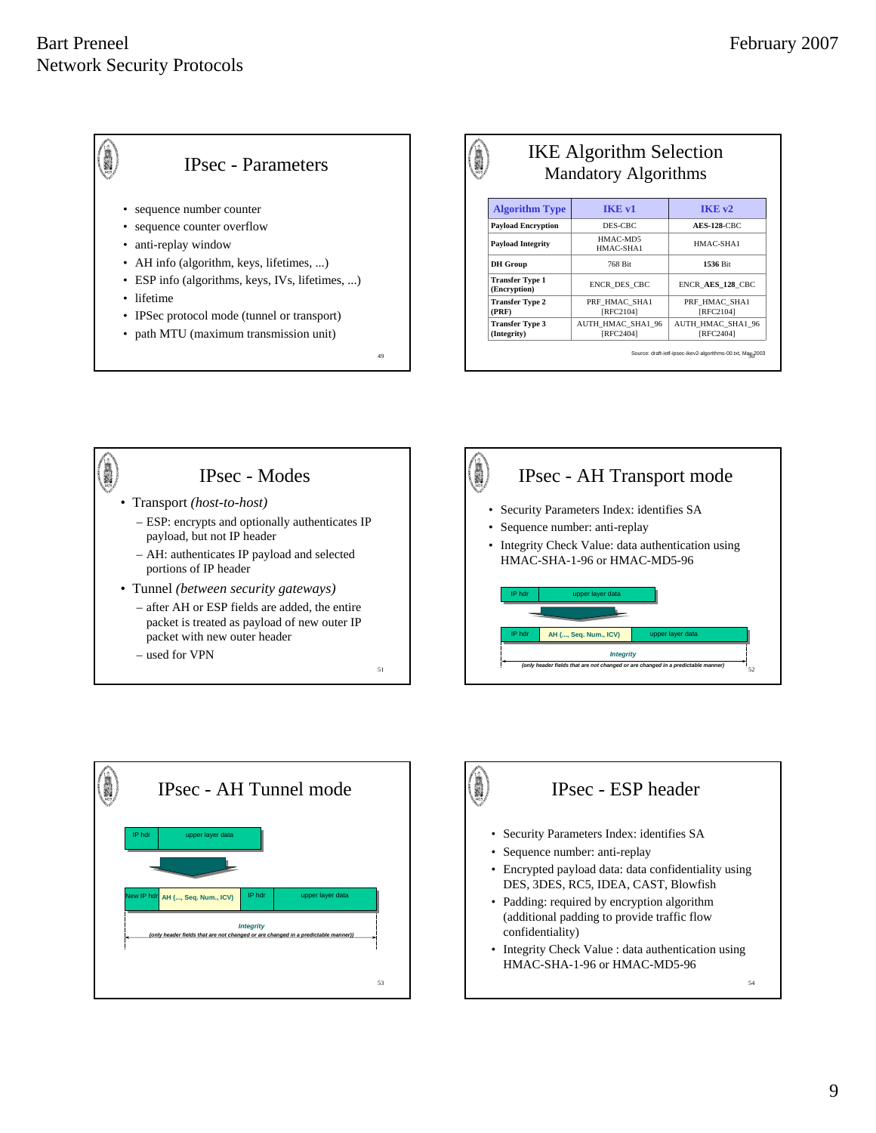

#### IKE Algorithm Selection Mandatory Algorithms HMAC-MD5<br>HMAC-SHA1 HMAC-SHA1 **Payload Integrity ENCR\_DES\_CBC ENCR\_AES\_128\_CBC (Encryption) DH Group** 768 Bit **1536** Bit PRF\_HMAC\_SHA1 [RFC2104] PRF\_HMAC\_SHA1 [RFC2104] **Transfer Type 2 (PRF) Payload Encryption** DES-CBC **AES-128**-CBC **Algorithm Type IKE v1 IKE v2**

AUTH\_HMAC\_SHA1\_96 [RFC2404]

**Transfer Type 3 (Integrity)**

50 Source: draft-ietf-ipsec-ikev2-algorithms-00.txt, May 2003

AUTH\_HMAC\_SHA1\_96 [RFC2404]







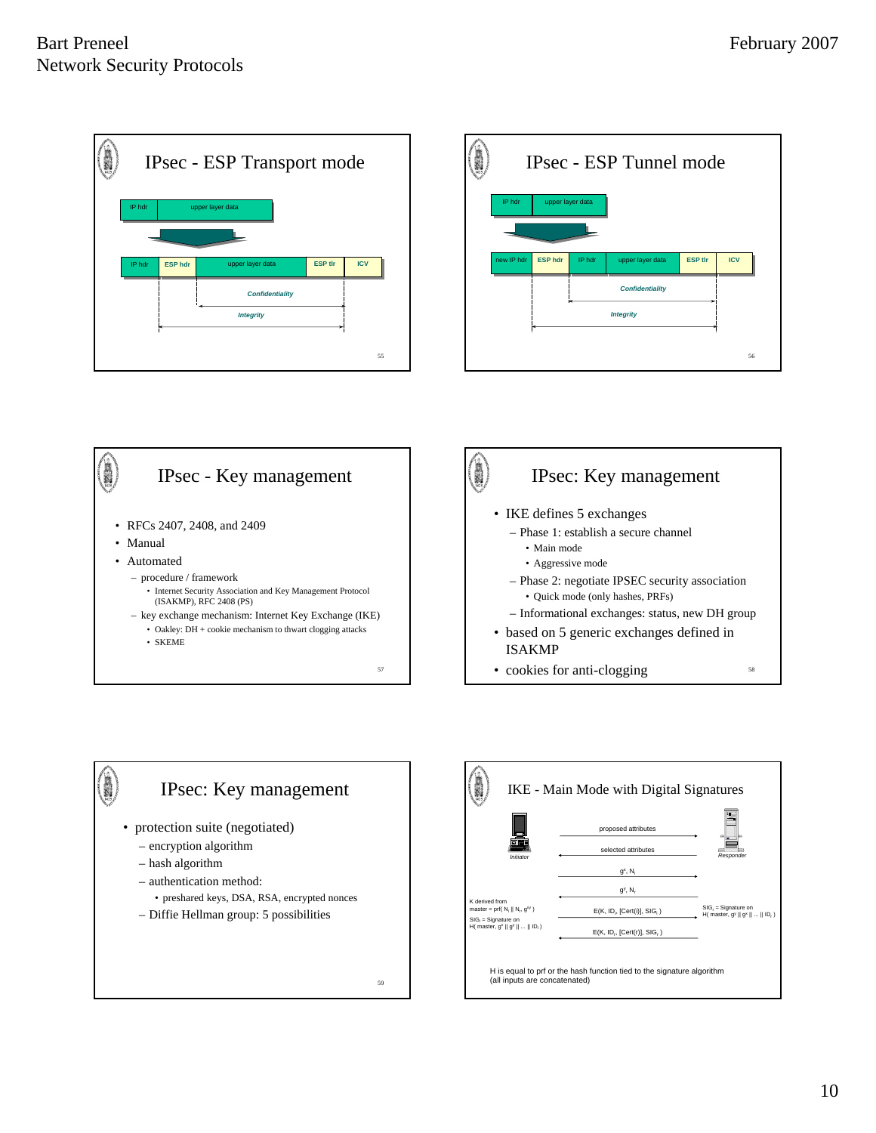| 1003782 | <b>IPsec - ESP Transport mode</b> |                  |                        |                |            |  |  |  |
|---------|-----------------------------------|------------------|------------------------|----------------|------------|--|--|--|
|         | IP hdr                            |                  |                        |                |            |  |  |  |
|         |                                   |                  |                        |                |            |  |  |  |
|         | IP hdr                            | <b>ESP hdr</b>   | upper layer data       | <b>ESP tir</b> | <b>ICV</b> |  |  |  |
|         |                                   |                  | <b>Confidentiality</b> |                |            |  |  |  |
|         |                                   | <b>Integrity</b> |                        |                |            |  |  |  |
|         |                                   |                  |                        |                |            |  |  |  |
|         |                                   |                  |                        |                | 55         |  |  |  |









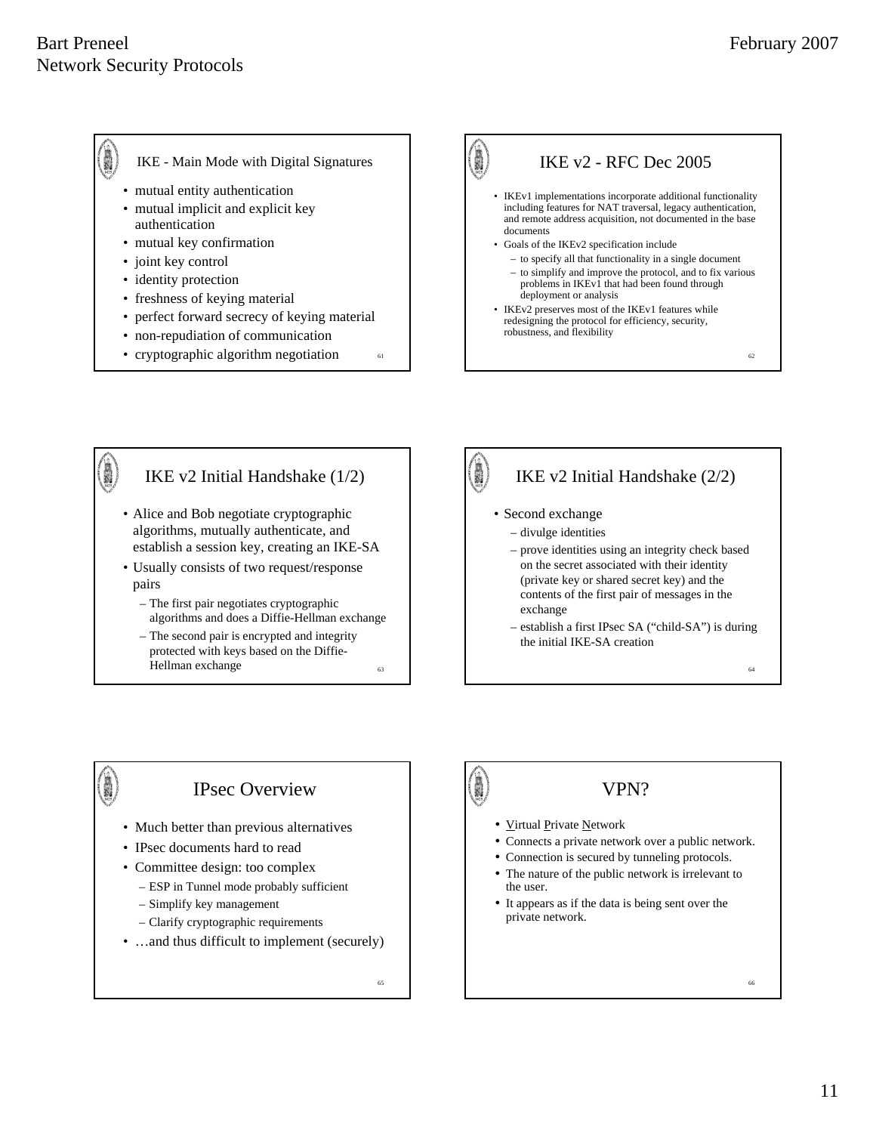- IKE Main Mode with Digital Signatures
	- mutual entity authentication
- mutual implicit and explicit key authentication
- mutual key confirmation
- joint key control
- identity protection
- freshness of keying material
- perfect forward secrecy of keying material
- non-repudiation of communication
- 



#### IKE v2 Initial Handshake (1/2) • Alice and Bob negotiate cryptographic algorithms, mutually authenticate, and establish a session key, creating an IKE-SA • Usually consists of two request/response pairs – The first pair negotiates cryptographic

- algorithms and does a Diffie-Hellman exchange – The second pair is encrypted and integrity
- protected with keys based on the Diffie-Hellman exchange  $\frac{63}{4}$

# IKE v2 Initial Handshake (2/2)

• Second exchange

I.

- divulge identities
- prove identities using an integrity check based on the secret associated with their identity (private key or shared secret key) and the contents of the first pair of messages in the exchange
- establish a first IPsec SA ("child-SA") is during the initial IKE-SA creation

### IPsec Overview

- Much better than previous alternatives
- IPsec documents hard to read

i.

- Committee design: too complex
	- ESP in Tunnel mode probably sufficient
	- Simplify key management
	- Clarify cryptographic requirements
- …and thus difficult to implement (securely)

65

61

63

- Virtual Private Network
- Connects a private network over a public network.

VPN?

- Connection is secured by tunneling protocols.
- The nature of the public network is irrelevant to the user.
- It appears as if the data is being sent over the private network.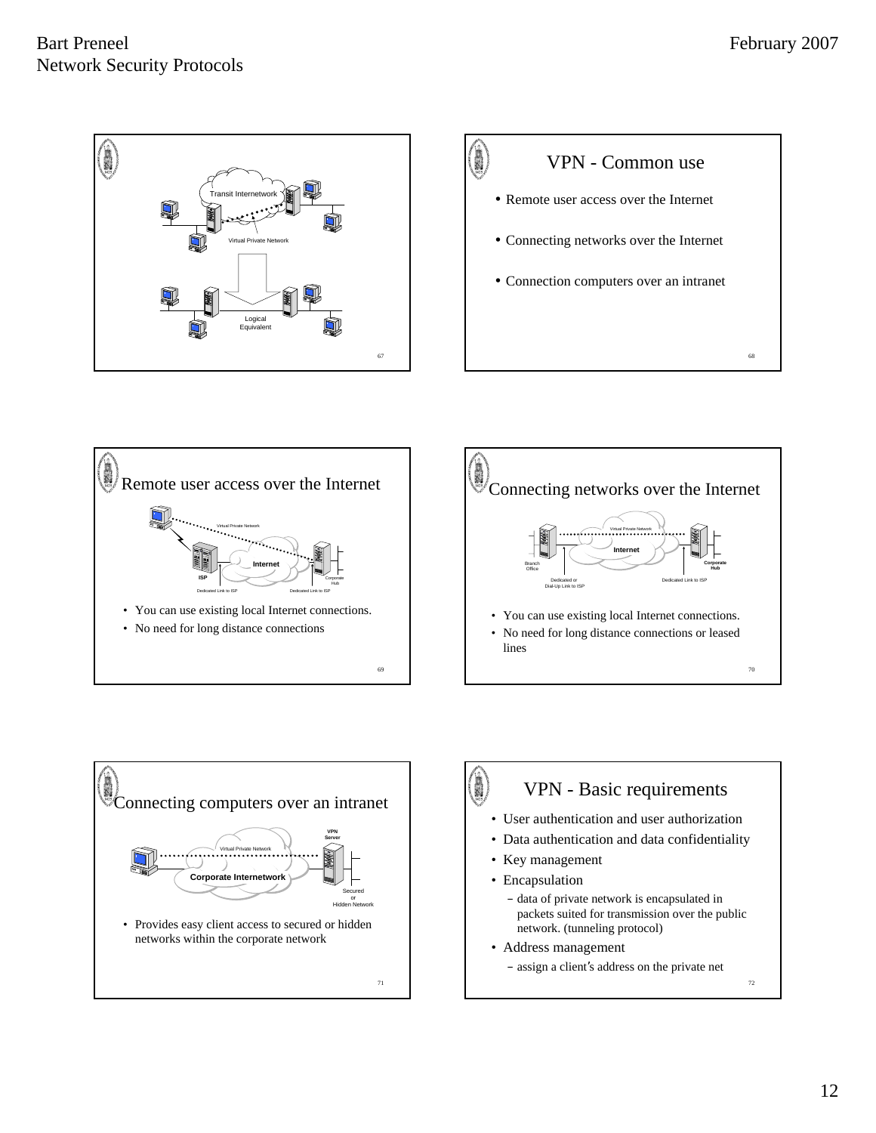